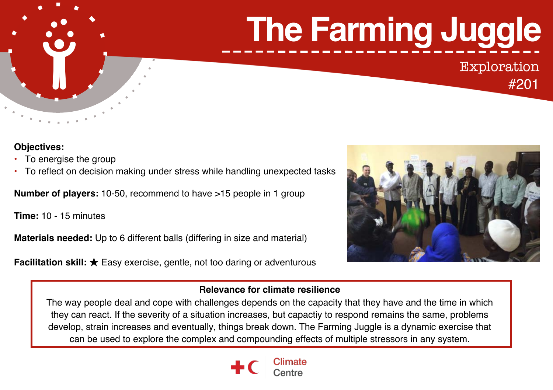# **The Farming Juggle**

Exploration

#201

### **Objectives:**

- To energise the group
- To reflect on decision making under stress while handling unexpected tasks

**Number of players:** 10-50, recommend to have >15 people in 1 group

**Time:** 10 - 15 minutes

**Materials needed:** Up to 6 different balls (differing in size and material)

**Facilitation skill:** ★ Easy exercise, gentle, not too daring or adventurous



# **Relevance for climate resilience**

The way people deal and cope with challenges depends on the capacity that they have and the time in which they can react. If the severity of a situation increases, but capactiy to respond remains the same, problems develop, strain increases and eventually, things break down. The Farming Juggle is a dynamic exercise that can be used to explore the complex and compounding effects of multiple stressors in any system.